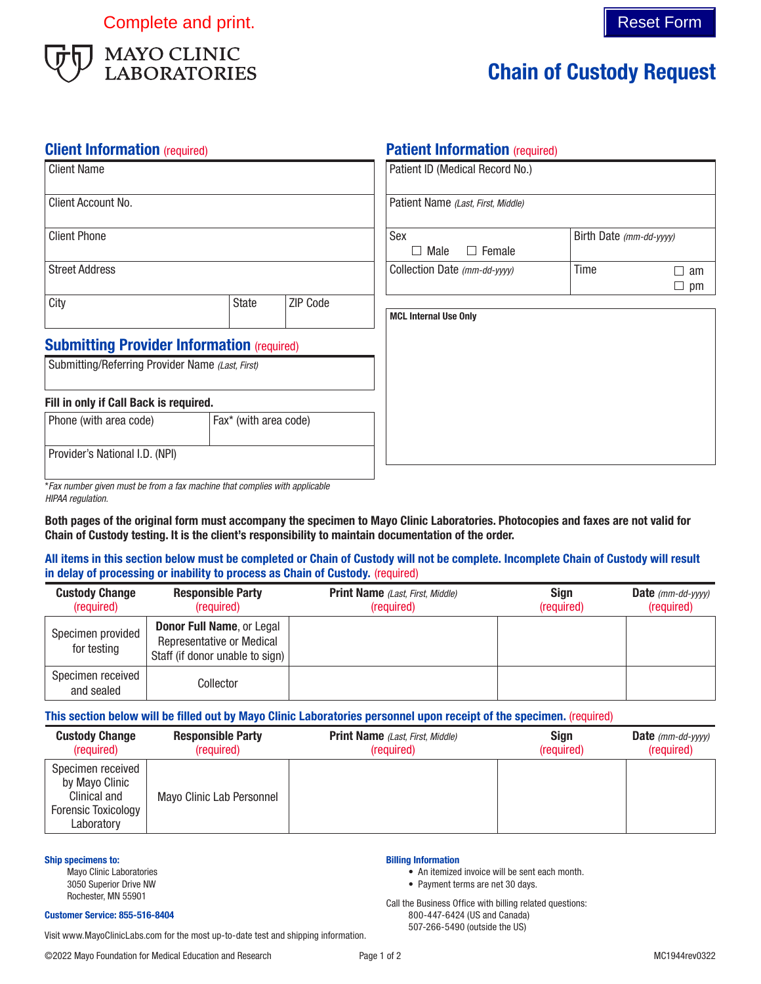

# Chain of Custody Request

# **Client Information** (required)

| <b>Client Name</b>                                |                       |                              | Patient ID (Medical Record No.)    |                      |                         |  |
|---------------------------------------------------|-----------------------|------------------------------|------------------------------------|----------------------|-------------------------|--|
| Client Account No.                                |                       |                              | Patient Name (Last, First, Middle) |                      |                         |  |
| <b>Client Phone</b>                               |                       |                              | Sex<br>Female<br>Male<br>$\Box$    |                      | Birth Date (mm-dd-yyyy) |  |
| <b>Street Address</b>                             |                       | Collection Date (mm-dd-yyyy) | Time                               | П<br>am<br>$\Box$ pm |                         |  |
| City                                              | <b>State</b>          | ZIP Code                     | <b>MCL Internal Use Only</b>       |                      |                         |  |
| <b>Submitting Provider Information (required)</b> |                       |                              |                                    |                      |                         |  |
| Submitting/Referring Provider Name (Last, First)  |                       |                              |                                    |                      |                         |  |
| Fill in only if Call Back is required.            |                       |                              |                                    |                      |                         |  |
| Phone (with area code)                            | Fax* (with area code) |                              |                                    |                      |                         |  |
| Provider's National I.D. (NPI)                    |                       |                              |                                    |                      |                         |  |

**Patient Information** (required)

\**Fax number given must be from a fax machine that complies with applicable HIPAA regulation.*

Both pages of the original form must accompany the specimen to Mayo Clinic Laboratories. Photocopies and faxes are not valid for Chain of Custody testing. It is the client's responsibility to maintain documentation of the order.

# All items in this section below must be completed or Chain of Custody will not be complete. Incomplete Chain of Custody will result in delay of processing or inability to process as Chain of Custody. (required)

| <b>Custody Change</b><br>(required) | <b>Responsible Party</b><br>(required)                                                                  | <b>Print Name</b> ( <i>Last, First, Middle</i> )<br>(required) | <b>Sign</b><br>(required) | <b>Date</b> ( $mm$ - $dd$ - $v$ $v$ $v$ $v$ )<br>(required) |
|-------------------------------------|---------------------------------------------------------------------------------------------------------|----------------------------------------------------------------|---------------------------|-------------------------------------------------------------|
| Specimen provided<br>for testing    | <b>Donor Full Name, or Legal</b><br><b>Representative or Medical</b><br>Staff (if donor unable to sign) |                                                                |                           |                                                             |
| Specimen received<br>and sealed     | Collector                                                                                               |                                                                |                           |                                                             |

# This section below will be filled out by Mayo Clinic Laboratories personnel upon receipt of the specimen. (required)

| <b>Custody Change</b><br>(required)                                                             | <b>Responsible Party</b><br>(required) | <b>Print Name</b> ( <i>Last, First, Middle</i> )<br>(required) | <b>Sign</b><br>(required) | <b>Date</b> ( $mm$ - $dd$ - $yyyy$ )<br>(required) |
|-------------------------------------------------------------------------------------------------|----------------------------------------|----------------------------------------------------------------|---------------------------|----------------------------------------------------|
| Specimen received<br>by Mayo Clinic<br>Clinical and<br><b>Forensic Toxicology</b><br>Laboratory | Mayo Clinic Lab Personnel              |                                                                |                           |                                                    |

### Ship specimens to:

Mayo Clinic Laboratories 3050 Superior Drive NW Rochester, MN 55901

### Customer Service: 855-516-8404

Visit www.MayoClinicLabs.com for the most up-to-date test and shipping information.

Billing Information

- An itemized invoice will be sent each month. • Payment terms are net 30 days.
- 

Call the Business Office with billing related questions: 800-447-6424 (US and Canada) 507-266-5490 (outside the US)